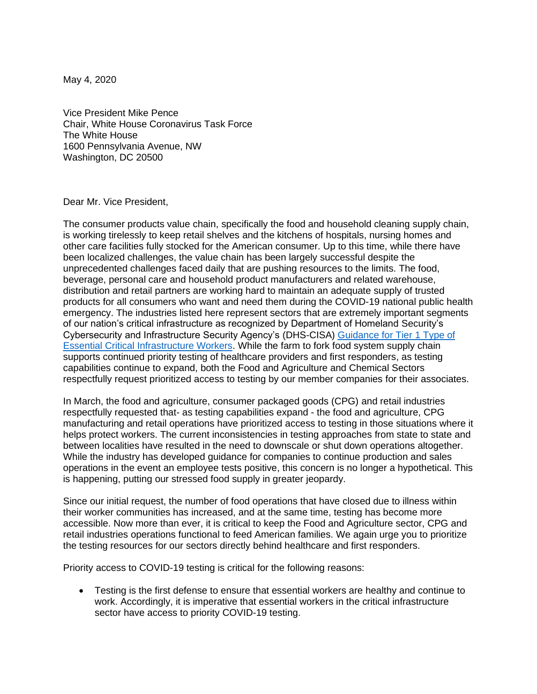May 4, 2020

Vice President Mike Pence Chair, White House Coronavirus Task Force The White House 1600 Pennsylvania Avenue, NW Washington, DC 20500

Dear Mr. Vice President,

The consumer products value chain, specifically the food and household cleaning supply chain, is working tirelessly to keep retail shelves and the kitchens of hospitals, nursing homes and other care facilities fully stocked for the American consumer. Up to this time, while there have been localized challenges, the value chain has been largely successful despite the unprecedented challenges faced daily that are pushing resources to the limits. The food, beverage, personal care and household product manufacturers and related warehouse, distribution and retail partners are working hard to maintain an adequate supply of trusted products for all consumers who want and need them during the COVID-19 national public health emergency. The industries listed here represent sectors that are extremely important segments of our nation's critical infrastructure as recognized by Department of Homeland Security's Cybersecurity and Infrastructure Security Agency's (DHS-CISA) [Guidance for Tier 1 Type of](https://www.cisa.gov/publication/guidance-essential-critical-infrastructure-workforce)  [Essential Critical Infrastructure Workers.](https://www.cisa.gov/publication/guidance-essential-critical-infrastructure-workforce) While the farm to fork food system supply chain supports continued priority testing of healthcare providers and first responders, as testing capabilities continue to expand, both the Food and Agriculture and Chemical Sectors respectfully request prioritized access to testing by our member companies for their associates.

In March, the food and agriculture, consumer packaged goods (CPG) and retail industries respectfully requested that- as testing capabilities expand - the food and agriculture, CPG manufacturing and retail operations have prioritized access to testing in those situations where it helps protect workers. The current inconsistencies in testing approaches from state to state and between localities have resulted in the need to downscale or shut down operations altogether. While the industry has developed guidance for companies to continue production and sales operations in the event an employee tests positive, this concern is no longer a hypothetical. This is happening, putting our stressed food supply in greater jeopardy.

Since our initial request, the number of food operations that have closed due to illness within their worker communities has increased, and at the same time, testing has become more accessible. Now more than ever, it is critical to keep the Food and Agriculture sector, CPG and retail industries operations functional to feed American families. We again urge you to prioritize the testing resources for our sectors directly behind healthcare and first responders.

Priority access to COVID-19 testing is critical for the following reasons:

• Testing is the first defense to ensure that essential workers are healthy and continue to work. Accordingly, it is imperative that essential workers in the critical infrastructure sector have access to priority COVID-19 testing.